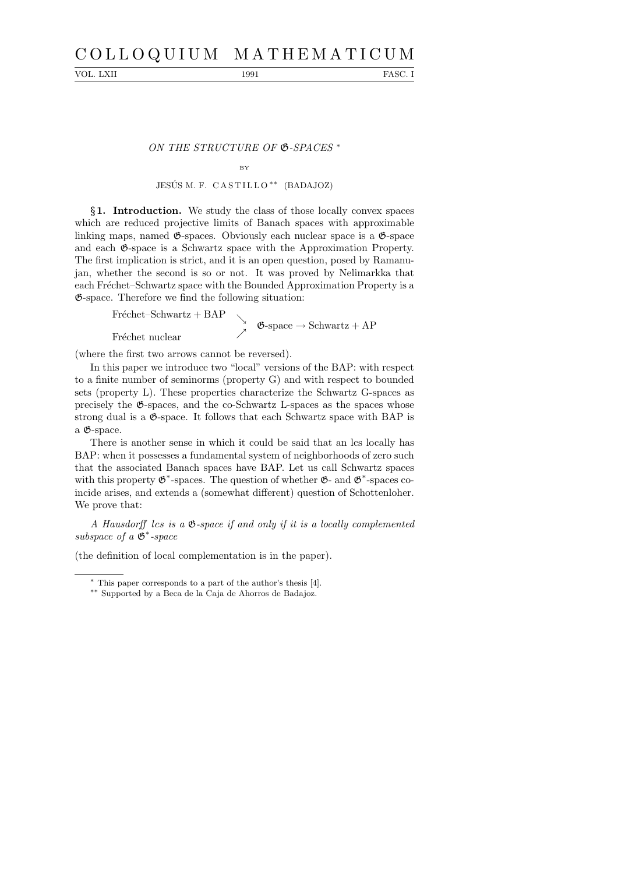# C O L L O Q U I U M M A T H E M A T I C U M

VOL. LXII 1991 FASC. I

ON THE STRUCTURE OF  $\mathfrak{G}\text{-}SPACES$ <sup>\*</sup>

# BY JESÚS M. F. CASTILLO<sup>\*\*</sup> (BADAJOZ)

§1. Introduction. We study the class of those locally convex spaces which are reduced projective limits of Banach spaces with approximable linking maps, named  $\mathfrak{G}$ -spaces. Obviously each nuclear space is a  $\mathfrak{G}$ -space and each G-space is a Schwartz space with the Approximation Property. The first implication is strict, and it is an open question, posed by Ramanujan, whether the second is so or not. It was proved by Nelimarkka that each Fréchet–Schwartz space with the Bounded Approximation Property is a G-space. Therefore we find the following situation:

Fréchet–Schwartz + BAP<br>  $\phi$ -space  $\rightarrow$  Schwartz + AP Fréchet nuclear

(where the first two arrows cannot be reversed).

In this paper we introduce two "local" versions of the BAP: with respect to a finite number of seminorms (property G) and with respect to bounded sets (property L). These properties characterize the Schwartz G-spaces as precisely the G-spaces, and the co-Schwartz L-spaces as the spaces whose strong dual is a G-space. It follows that each Schwartz space with BAP is a G-space.

There is another sense in which it could be said that an lcs locally has BAP: when it possesses a fundamental system of neighborhoods of zero such that the associated Banach spaces have BAP. Let us call Schwartz spaces with this property  $\mathfrak{G}^*$ -spaces. The question of whether  $\mathfrak{G}$ - and  $\mathfrak{G}^*$ -spaces coincide arises, and extends a (somewhat different) question of Schottenloher. We prove that:

A Hausdorff lcs is a G-space if and only if it is a locally complemented subspace of a  $\mathfrak{G}^*$ -space

(the definition of local complementation is in the paper).

<sup>∗</sup> This paper corresponds to a part of the author's thesis [4].

<sup>∗∗</sup> Supported by a Beca de la Caja de Ahorros de Badajoz.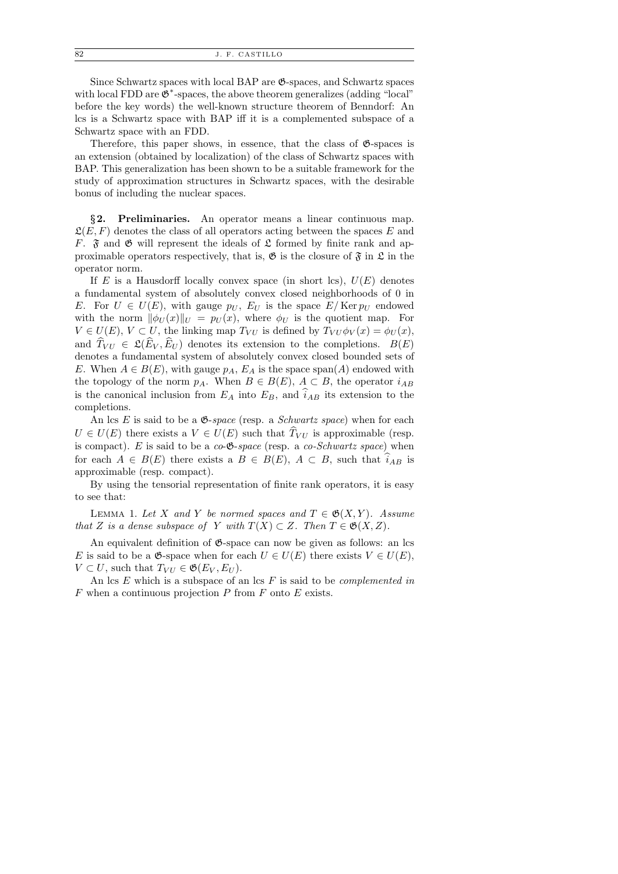Since Schwartz spaces with local BAP are G-spaces, and Schwartz spaces with local FDD are  $\mathfrak{G}^*$ -spaces, the above theorem generalizes (adding "local" before the key words) the well-known structure theorem of Benndorf: An lcs is a Schwartz space with BAP iff it is a complemented subspace of a Schwartz space with an FDD.

Therefore, this paper shows, in essence, that the class of  $\mathfrak{G}$ -spaces is an extension (obtained by localization) of the class of Schwartz spaces with BAP. This generalization has been shown to be a suitable framework for the study of approximation structures in Schwartz spaces, with the desirable bonus of including the nuclear spaces.

§2. Preliminaries. An operator means a linear continuous map.  $\mathfrak{L}(E, F)$  denotes the class of all operators acting between the spaces E and F.  $\mathfrak F$  and  $\mathfrak G$  will represent the ideals of  $\mathfrak L$  formed by finite rank and approximable operators respectively, that is,  $\mathfrak{G}$  is the closure of  $\mathfrak{F}$  in  $\mathfrak{L}$  in the operator norm.

If E is a Hausdorff locally convex space (in short lcs),  $U(E)$  denotes a fundamental system of absolutely convex closed neighborhoods of 0 in E. For  $U \in U(E)$ , with gauge  $p_U$ ,  $E_U$  is the space  $E/Ker p_U$  endowed with the norm  $\|\phi_U(x)\|_U = p_U(x)$ , where  $\phi_U$  is the quotient map. For  $V \in U(E)$ ,  $V \subset U$ , the linking map  $T_{VU}$  is defined by  $T_{VU}\phi_V(x) = \phi_U(x)$ , and  $\widehat{T}_{VU} \in \mathfrak{L}(\widehat{E}_V, \widehat{E}_U)$  denotes its extension to the completions.  $B(E)$ denotes a fundamental system of absolutely convex closed bounded sets of E. When  $A \in B(E)$ , with gauge  $p_A$ ,  $E_A$  is the space span(A) endowed with the topology of the norm  $p_A$ . When  $B \in B(E)$ ,  $A \subset B$ , the operator  $i_{AB}$ is the canonical inclusion from  $E_A$  into  $E_B$ , and  $\hat{i}_{AB}$  its extension to the completions.

An lcs  $E$  is said to be a  $\mathfrak{G}\text{-}space$  (resp. a *Schwartz space*) when for each  $U \in U(E)$  there exists a  $V \in U(E)$  such that  $\hat{T}_{VU}$  is approximable (resp. is compact). E is said to be a  $co-**6**-space$  (resp. a  $co-Schwartz space$ ) when for each  $A \in B(E)$  there exists a  $B \in B(E)$ ,  $A \subset B$ , such that  $\hat{i}_{AB}$  is approximable (resp. compact).

By using the tensorial representation of finite rank operators, it is easy to see that:

LEMMA 1. Let X and Y be normed spaces and  $T \in \mathfrak{G}(X,Y)$ . Assume that Z is a dense subspace of Y with  $T(X) \subset Z$ . Then  $T \in \mathfrak{G}(X,Z)$ .

An equivalent definition of  $\mathfrak{G}$ -space can now be given as follows: an lcs E is said to be a  $\mathfrak{G}\text{-space}$  when for each  $U \in U(E)$  there exists  $V \in U(E)$ ,  $V \subset U$ , such that  $T_{VU} \in \mathfrak{G}(E_V, E_U)$ .

An lcs  $E$  which is a subspace of an lcs  $F$  is said to be *complemented in*  $F$  when a continuous projection  $P$  from  $F$  onto  $E$  exists.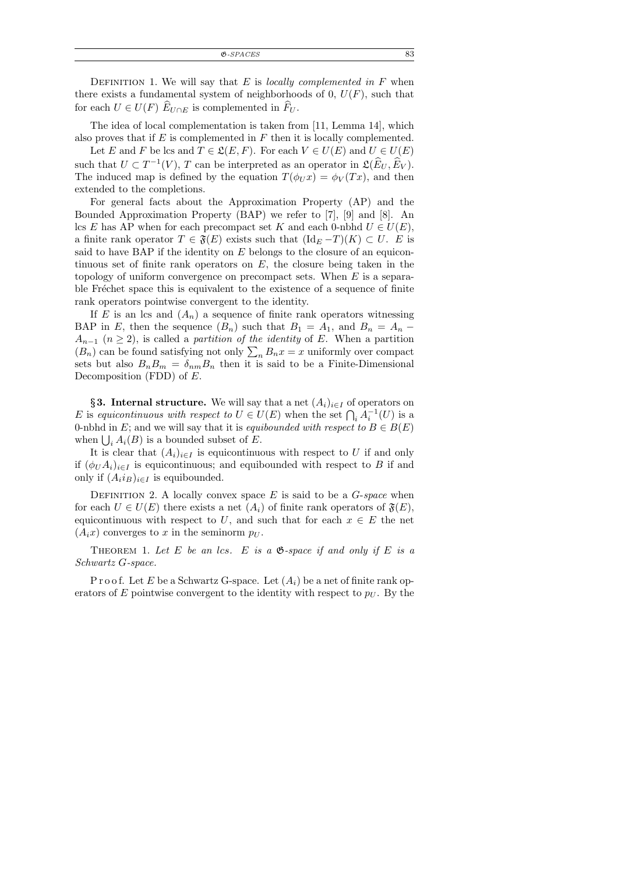$\mathfrak{G}\text{-}SPACES$  83

DEFINITION 1. We will say that E is *locally complemented in*  $F$  when there exists a fundamental system of neighborhoods of 0,  $U(F)$ , such that for each  $U \in U(F)$   $\widehat{E}_{U \cap E}$  is complemented in  $\widehat{F}_{U}$ .

The idea of local complementation is taken from [11, Lemma 14], which also proves that if  $E$  is complemented in  $F$  then it is locally complemented.

Let E and F be lcs and  $T \in \mathfrak{L}(E, F)$ . For each  $V \in U(E)$  and  $U \in U(E)$ such that  $U \subset T^{-1}(V)$ , T can be interpreted as an operator in  $\mathfrak{L}(\widehat{E}_U, \widehat{E}_V)$ . The induced map is defined by the equation  $T(\phi_U x) = \phi_V(Tx)$ , and then extended to the completions.

For general facts about the Approximation Property (AP) and the Bounded Approximation Property (BAP) we refer to [7], [9] and [8]. An lcs E has AP when for each precompact set K and each 0-nbhd  $U \in U(E)$ , a finite rank operator  $T \in \mathfrak{F}(E)$  exists such that  $(\mathrm{Id}_E-T)(K) \subset U$ . E is said to have BAP if the identity on  $E$  belongs to the closure of an equicontinuous set of finite rank operators on  $E$ , the closure being taken in the topology of uniform convergence on precompact sets. When  $E$  is a separable Fréchet space this is equivalent to the existence of a sequence of finite rank operators pointwise convergent to the identity.

If E is an lcs and  $(A_n)$  a sequence of finite rank operators witnessing BAP in E, then the sequence  $(B_n)$  such that  $B_1 = A_1$ , and  $B_n = A_n$  $A_{n-1}$   $(n \geq 2)$ , is called a *partition of the identity* of E. When a partition  $(B_n)$  can be found satisfying not only  $\sum_n B_n x = x$  uniformly over compact sets but also  $B_n B_m = \delta_{nm} B_n$  then it is said to be a Finite-Dimensional Decomposition (FDD) of  $E$ .

§3. Internal structure. We will say that a net  $(A_i)_{i\in I}$  of operators on E is equicontinuous with respect to  $U \in U(E)$  when the set  $\bigcap_i A_i^{-1}(U)$  is a 0-nbhd in E; and we will say that it is equibounded with respect to  $B \in B(E)$ when  $\bigcup_i A_i(B)$  is a bounded subset of E.

It is clear that  $(A_i)_{i\in I}$  is equicontinuous with respect to U if and only if  $(\phi_U A_i)_{i \in I}$  is equicontinuous; and equibounded with respect to B if and only if  $(A_i i_B)_{i \in I}$  is equibounded.

DEFINITION 2. A locally convex space  $E$  is said to be a  $G$ -space when for each  $U \in U(E)$  there exists a net  $(A_i)$  of finite rank operators of  $\mathfrak{F}(E)$ , equicontinuous with respect to U, and such that for each  $x \in E$  the net  $(A_ix)$  converges to x in the seminorm  $p_U$ .

THEOREM 1. Let E be an lcs. E is a  $\mathfrak{G}\text{-}space$  if and only if E is a Schwartz G-space.

P r o o f. Let E be a Schwartz G-space. Let  $(A_i)$  be a net of finite rank operators of E pointwise convergent to the identity with respect to  $p_U$ . By the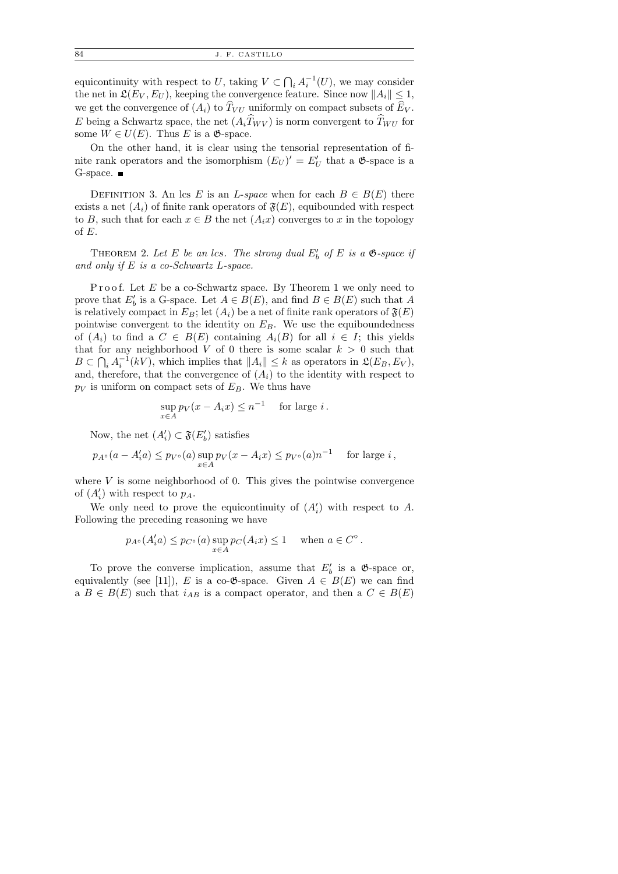equicontinuity with respect to U, taking  $V \subset \bigcap_i A_i^{-1}(U)$ , we may consider the net in  $\mathfrak{L}(E_V, E_U)$ , keeping the convergence feature. Since now  $||A_i|| \leq 1$ , we get the convergence of  $(A_i)$  to  $\widehat{T}_{VU}$  uniformly on compact subsets of  $\widehat{E}_V$ . E being a Schwartz space, the net  $(A_i \hat{T}_{WV})$  is norm convergent to  $\hat{T}_{WU}$  for some  $W \in U(E)$ . Thus E is a  $\mathfrak{G}$ -space.

On the other hand, it is clear using the tensorial representation of finite rank operators and the isomorphism  $(E_U)' = E'_U$  that a  $\mathfrak{G}$ -space is a G-space.  $\blacksquare$ 

DEFINITION 3. An lcs E is an L-space when for each  $B \in B(E)$  there exists a net  $(A_i)$  of finite rank operators of  $\mathfrak{F}(E)$ , equibounded with respect to B, such that for each  $x \in B$  the net  $(A_ix)$  converges to x in the topology of  $E$ .

THEOREM 2. Let E be an lcs. The strong dual  $E'_b$  of E is a  $\mathfrak{G}\text{-space}$  if and only if  $E$  is a co-Schwartz L-space.

Proof. Let  $E$  be a co-Schwartz space. By Theorem 1 we only need to prove that  $E'_b$  is a G-space. Let  $A \in B(E)$ , and find  $B \in B(E)$  such that A is relatively compact in  $E_B$ ; let  $(A_i)$  be a net of finite rank operators of  $\mathfrak{F}(E)$ pointwise convergent to the identity on  $E_B$ . We use the equiboundedness of  $(A_i)$  to find a  $C \in B(E)$  containing  $A_i(B)$  for all  $i \in I$ ; this yields that for any neighborhood V of 0 there is some scalar  $k > 0$  such that  $B \subset \bigcap_i A_i^{-1}(kV)$ , which implies that  $||A_i|| \leq k$  as operators in  $\mathfrak{L}(E_B, E_V)$ , and, therefore, that the convergence of  $(A_i)$  to the identity with respect to  $p_V$  is uniform on compact sets of  $E_B$ . We thus have

$$
\sup_{x \in A} p_V(x - A_i x) \le n^{-1} \quad \text{for large } i.
$$

Now, the net  $(A'_i) \subset \mathfrak{F}(E'_b)$  satisfies

$$
p_{A^{\circ}}(a - A_i'a) \le p_{V^{\circ}}(a) \sup_{x \in A} p_V(x - A_i x) \le p_{V^{\circ}}(a)n^{-1} \quad \text{ for large } i,
$$

where  $V$  is some neighborhood of 0. This gives the pointwise convergence of  $(A'_i)$  with respect to  $p_A$ .

We only need to prove the equicontinuity of  $(A'_i)$  with respect to A. Following the preceding reasoning we have

$$
p_{A\circ}(A_i'a) \le p_{C\circ}(a) \sup_{x \in A} p_C(A_ix) \le 1
$$
 when  $a \in C^{\circ}$ .

To prove the converse implication, assume that  $E'_{b}$  is a  $\mathfrak{G}$ -space or, equivalently (see [11]), E is a co- $\mathfrak{G}$ -space. Given  $A \in B(E)$  we can find a  $B \in B(E)$  such that  $i_{AB}$  is a compact operator, and then a  $C \in B(E)$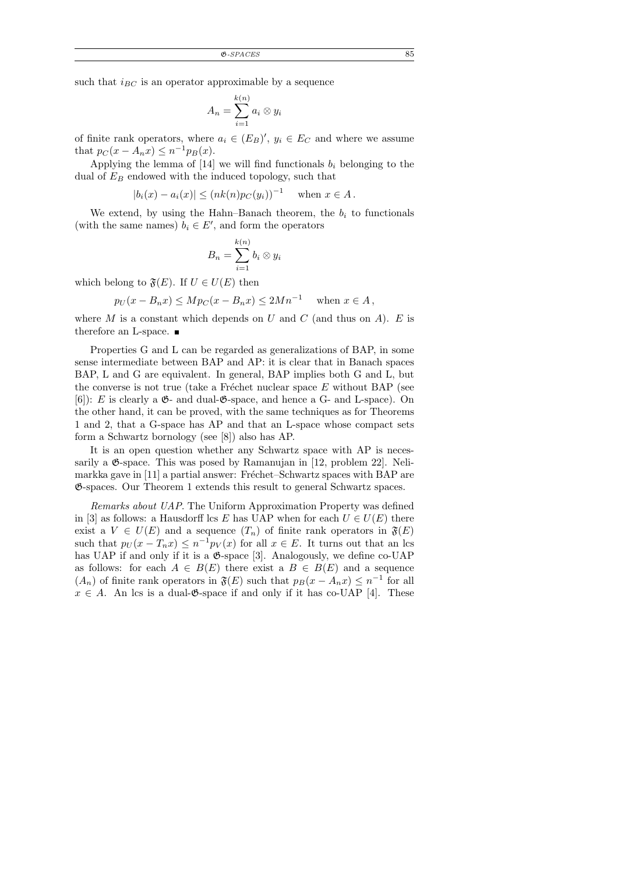such that  $i_{BC}$  is an operator approximable by a sequence

$$
A_n = \sum_{i=1}^{k(n)} a_i \otimes y_i
$$

of finite rank operators, where  $a_i \in (E_B)'$ ,  $y_i \in E_C$  and where we assume that  $p_C(x - A_n x) \leq n^{-1} p_B(x)$ .

Applying the lemma of [14] we will find functionals  $b_i$  belonging to the dual of  $E_B$  endowed with the induced topology, such that

$$
|b_i(x) - a_i(x)| \le (nk(n)p_C(y_i))^{-1}
$$
 when  $x \in A$ .

We extend, by using the Hahn–Banach theorem, the  $b_i$  to functionals (with the same names)  $b_i \in E'$ , and form the operators

$$
B_n = \sum_{i=1}^{k(n)} b_i \otimes y_i
$$

which belong to  $\mathfrak{F}(E)$ . If  $U \in U(E)$  then

$$
p_U(x - B_n x) \le M p_C(x - B_n x) \le 2Mn^{-1} \quad \text{when } x \in A,
$$

where  $M$  is a constant which depends on  $U$  and  $C$  (and thus on  $A$ ).  $E$  is therefore an L-space.

Properties G and L can be regarded as generalizations of BAP, in some sense intermediate between BAP and AP: it is clear that in Banach spaces BAP, L and G are equivalent. In general, BAP implies both G and L, but the converse is not true (take a Fréchet nuclear space  $E$  without BAP (see  $[6]$ : E is clearly a  $\mathfrak{G}$ - and dual- $\mathfrak{G}$ -space, and hence a G- and L-space). On the other hand, it can be proved, with the same techniques as for Theorems 1 and 2, that a G-space has AP and that an L-space whose compact sets form a Schwartz bornology (see [8]) also has AP.

It is an open question whether any Schwartz space with AP is necessarily a  $\mathfrak{G}$ -space. This was posed by Ramanujan in [12, problem 22]. Nelimarkka gave in  $[11]$  a partial answer: Fréchet–Schwartz spaces with BAP are G-spaces. Our Theorem 1 extends this result to general Schwartz spaces.

Remarks about UAP. The Uniform Approximation Property was defined in [3] as follows: a Hausdorff lcs E has UAP when for each  $U \in U(E)$  there exist a  $V \in U(E)$  and a sequence  $(T_n)$  of finite rank operators in  $\mathfrak{F}(E)$ such that  $p_U(x - T_n x) \leq n^{-1} p_V(x)$  for all  $x \in E$ . It turns out that an lcs has UAP if and only if it is a  $\mathfrak{G}\text{-space}$  [3]. Analogously, we define co-UAP as follows: for each  $A \in B(E)$  there exist a  $B \in B(E)$  and a sequence  $(A_n)$  of finite rank operators in  $\mathfrak{F}(E)$  such that  $p_B(x - A_n x) \leq n^{-1}$  for all  $x \in A$ . An lcs is a dual- $\mathfrak{G}$ -space if and only if it has co-UAP [4]. These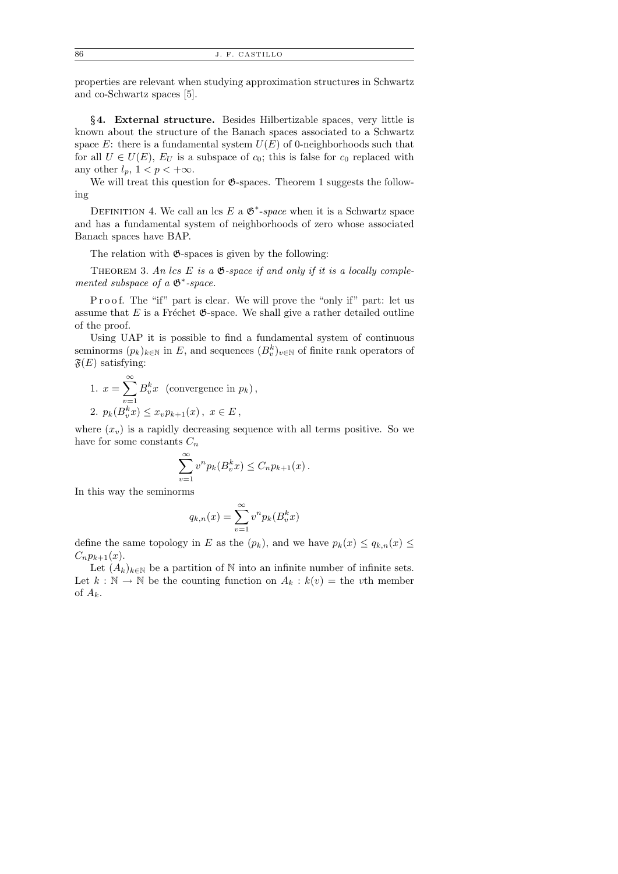properties are relevant when studying approximation structures in Schwartz and co-Schwartz spaces [5].

§4. External structure. Besides Hilbertizable spaces, very little is known about the structure of the Banach spaces associated to a Schwartz space  $E$ : there is a fundamental system  $U(E)$  of 0-neighborhoods such that for all  $U \in U(E)$ ,  $E_U$  is a subspace of  $c_0$ ; this is false for  $c_0$  replaced with any other  $l_p$ ,  $1 < p < +\infty$ .

We will treat this question for  $\mathfrak{G}\text{-spaces.}$  Theorem 1 suggests the following

DEFINITION 4. We call an lcs  $E$  a  $\mathfrak{G}^*$ -space when it is a Schwartz space and has a fundamental system of neighborhoods of zero whose associated Banach spaces have BAP.

The relation with  $\mathfrak{G}$ -spaces is given by the following:

THEOREM 3. An lcs E is a  $\mathfrak{G}\text{-space}$  if and only if it is a locally complemented subspace of a  $\mathfrak{G}^*$ -space.

P r o o f. The "if" part is clear. We will prove the "only if" part: let us assume that  $E$  is a Fréchet  $\mathfrak{G}\text{-space}$ . We shall give a rather detailed outline of the proof.

Using UAP it is possible to find a fundamental system of continuous seminorms  $(p_k)_{k \in \mathbb{N}}$  in E, and sequences  $(B_v^k)_{v \in \mathbb{N}}$  of finite rank operators of  $\mathfrak{F}(E)$  satisfying:

1. 
$$
x = \sum_{v=1}^{\infty} B_v^k x
$$
 (convergence in  $p_k$ ),  
2.  $p_k(B_v^k x) \le x_v p_{k+1}(x)$ ,  $x \in E$ ,

where  $(x_v)$  is a rapidly decreasing sequence with all terms positive. So we have for some constants  $C_n$ 

$$
\sum_{v=1}^{\infty} v^n p_k(B_v^k x) \le C_n p_{k+1}(x).
$$

In this way the seminorms

$$
q_{k,n}(x) = \sum_{v=1}^{\infty} v^n p_k(B_v^k x)
$$

define the same topology in E as the  $(p_k)$ , and we have  $p_k(x) \leq q_{k,n}(x) \leq$  $C_n p_{k+1}(x)$ .

Let  $(A_k)_{k\in\mathbb{N}}$  be a partition of  $\mathbb N$  into an infinite number of infinite sets. Let  $k : \mathbb{N} \to \mathbb{N}$  be the counting function on  $A_k : k(v) =$  the vth member of  $A_k$ .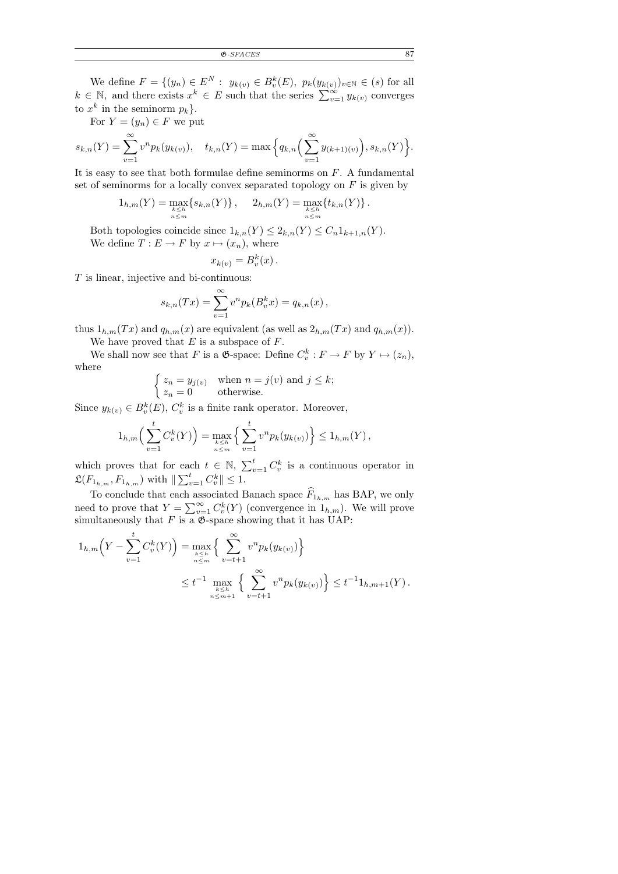We define  $F = \{(y_n) \in E^N : y_{k(v)} \in B_v^k(E), p_k(y_{k(v)})_{v \in \mathbb{N}} \in (s) \text{ for all } v \in \mathbb{N}\}$  $k \in \mathbb{N}$ , and there exists  $x^k \in E$  such that the series  $\sum_{v=1}^{\infty} y_{k(v)}$  converges to  $x^k$  in the seminorm  $p_k$ .

For  $Y = (y_n) \in F$  we put

$$
s_{k,n}(Y) = \sum_{v=1}^{\infty} v^n p_k(y_{k(v)}), \quad t_{k,n}(Y) = \max\Big\{q_{k,n}\Big(\sum_{v=1}^{\infty} y_{(k+1)(v)}\Big), s_{k,n}(Y)\Big\}.
$$

It is easy to see that both formulae define seminorms on  $F$ . A fundamental set of seminorms for a locally convex separated topology on  $F$  is given by

$$
1_{h,m}(Y) = \max_{\substack{k \leq h \\ n \leq m}} \{s_{k,n}(Y)\}, \quad 2_{h,m}(Y) = \max_{\substack{k \leq h \\ n \leq m}} \{t_{k,n}(Y)\}.
$$

Both topologies coincide since  $1_{k,n}(Y) \leq 2_{k,n}(Y) \leq C_n 1_{k+1,n}(Y)$ . We define  $T: E \to F$  by  $x \mapsto (x_n)$ , where

$$
x_{k(v)} = B_v^k(x).
$$

T is linear, injective and bi-continuous:

$$
s_{k,n}(Tx) = \sum_{v=1}^{\infty} v^n p_k(B_v^k x) = q_{k,n}(x),
$$

thus  $1_{h,m}(Tx)$  and  $q_{h,m}(x)$  are equivalent (as well as  $2_{h,m}(Tx)$  and  $q_{h,m}(x)$ ). We have proved that  $E$  is a subspace of  $F$ .

We shall now see that F is a  $\mathfrak{G}$ -space: Define  $C_v^k : F \to F$  by  $Y \mapsto (z_n)$ , where

$$
\begin{cases} z_n = y_{j(v)} & \text{when } n = j(v) \text{ and } j \le k; \\ z_n = 0 & \text{otherwise.} \end{cases}
$$

Since  $y_{k(v)} \in B_v^k(E)$ ,  $C_v^k$  is a finite rank operator. Moreover,

$$
1_{h,m}\left(\sum_{v=1}^t C_v^k(Y)\right) = \max_{\substack{k \le h \\ n \le m}} \left\{ \sum_{v=1}^t v^n p_k(y_{k(v)}) \right\} \le 1_{h,m}(Y),
$$

which proves that for each  $t \in \mathbb{N}$ ,  $\sum_{v=1}^{t} C_v^k$  is a continuous operator in  $\mathfrak{L}(F_{1_{h,m}}, F_{1_{h,m}})$  with  $\|\sum_{v=1}^{t} C_v^k\| \leq 1$ .

To conclude that each associated Banach space  $F_{1_{h,m}}$  has BAP, we only need to prove that  $Y = \sum_{v=1}^{\infty} C_v^k(Y)$  (convergence in  $1_{h,m}$ ). We will prove simultaneously that  $F$  is a  $\mathfrak{G}$ -space showing that it has UAP:

$$
1_{h,m}\left(Y - \sum_{v=1}^{t} C_v^k(Y)\right) = \max_{\substack{n \leq n \\ n \leq m}} \left\{ \sum_{v=t+1}^{\infty} v^n p_k(y_{k(v)}) \right\}
$$
  

$$
\leq t^{-1} \max_{\substack{k \leq n \\ n \leq m+1}} \left\{ \sum_{v=t+1}^{\infty} v^n p_k(y_{k(v)}) \right\} \leq t^{-1} 1_{h,m+1}(Y).
$$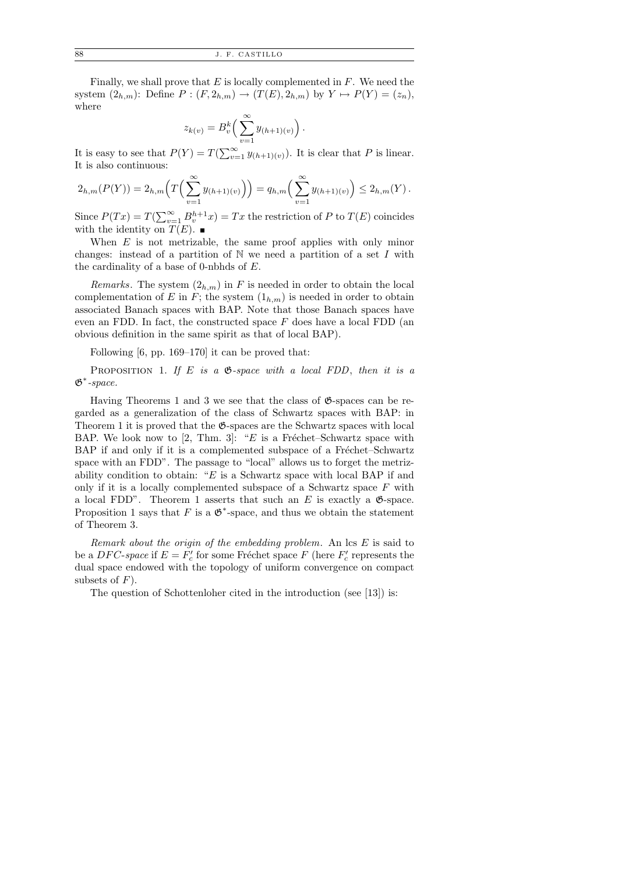Finally, we shall prove that  $E$  is locally complemented in  $F$ . We need the system  $(2_{h,m})$ : Define  $P: (F, 2_{h,m}) \to (T(E), 2_{h,m})$  by  $Y \mapsto P(Y) = (z_n)$ , where

$$
z_{k(v)} = B_v^k \left( \sum_{v=1}^{\infty} y_{(h+1)(v)} \right).
$$

It is easy to see that  $P(Y) = T(\sum_{v=1}^{\infty} y_{(h+1)(v)})$ . It is clear that P is linear. It is also continuous:

$$
2_{h,m}(P(Y)) = 2_{h,m}\left(T\left(\sum_{v=1}^{\infty} y_{(h+1)(v)}\right)\right) = q_{h,m}\left(\sum_{v=1}^{\infty} y_{(h+1)(v)}\right) \leq 2_{h,m}(Y).
$$

Since  $P(Tx) = T(\sum_{v=1}^{\infty} B_v^{h+1} x) = Tx$  the restriction of P to  $T(E)$  coincides with the identity on  $T(E)$ .

When  $E$  is not metrizable, the same proof applies with only minor changes: instead of a partition of  $N$  we need a partition of a set I with the cardinality of a base of 0-nbhds of  $E$ .

Remarks. The system  $(2_{h,m})$  in F is needed in order to obtain the local complementation of E in F; the system  $(1_{h,m})$  is needed in order to obtain associated Banach spaces with BAP. Note that those Banach spaces have even an FDD. In fact, the constructed space  $F$  does have a local FDD (an obvious definition in the same spirit as that of local BAP).

Following [6, pp. 169–170] it can be proved that:

PROPOSITION 1. If E is a  $\mathfrak{G}\text{-}space$  with a local FDD, then it is a  $\mathfrak{G}^*$ -space.

Having Theorems 1 and 3 we see that the class of  $\mathfrak{G}$ -spaces can be regarded as a generalization of the class of Schwartz spaces with BAP: in Theorem 1 it is proved that the  $\mathfrak{G}$ -spaces are the Schwartz spaces with local BAP. We look now to [2, Thm. 3]: "E is a Fréchet–Schwartz space with BAP if and only if it is a complemented subspace of a Fréchet–Schwartz space with an FDD". The passage to "local" allows us to forget the metrizability condition to obtain: " $E$  is a Schwartz space with local BAP if and only if it is a locally complemented subspace of a Schwartz space  $F$  with a local FDD". Theorem 1 asserts that such an E is exactly a  $\mathfrak{G}$ -space. Proposition 1 says that F is a  $\mathfrak{G}^*$ -space, and thus we obtain the statement of Theorem 3.

Remark about the origin of the embedding problem. An  $\text{lcs } E$  is said to be a  $DFC$ -space if  $E = F_c'$  for some Fréchet space F (here  $F_c'$  represents the dual space endowed with the topology of uniform convergence on compact subsets of  $F$ ).

The question of Schottenloher cited in the introduction (see [13]) is: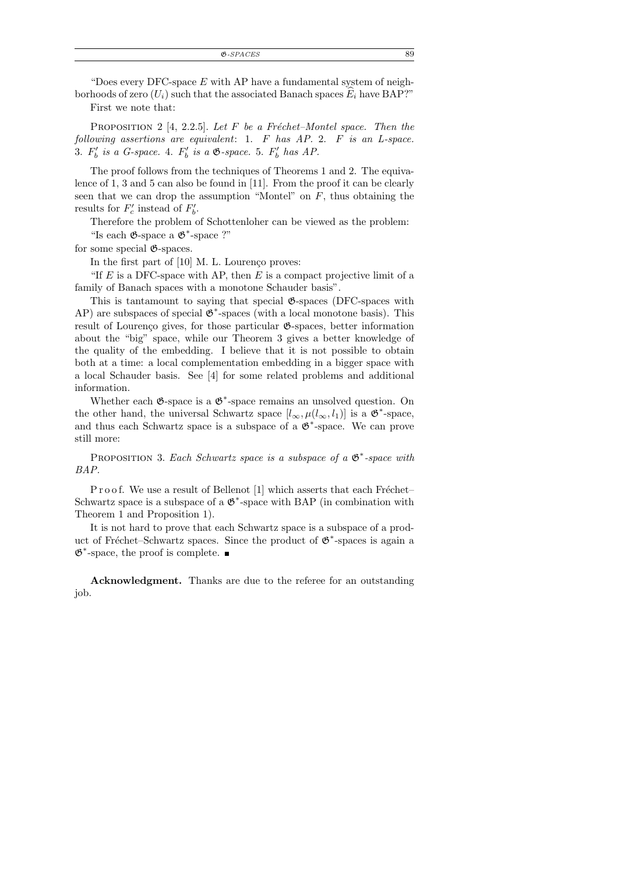"Does every DFC-space  $E$  with AP have a fundamental system of neighborhoods of zero  $(U_i)$  such that the associated Banach spaces  $E_i$  have BAP?"

First we note that:

PROPOSITION 2 [4, 2.2.5]. Let F be a Fréchet–Montel space. Then the following assertions are equivalent: 1. F has AP. 2. F is an L-space. 3.  $F'_b$  is a G-space. 4.  $F'_b$  is a  $\mathfrak{G}$ -space. 5.  $F'_b$  has AP.

The proof follows from the techniques of Theorems 1 and 2. The equivalence of 1, 3 and 5 can also be found in [11]. From the proof it can be clearly seen that we can drop the assumption "Montel" on  $F$ , thus obtaining the results for  $F_c'$  instead of  $F_b'$ .

Therefore the problem of Schottenloher can be viewed as the problem: "Is each  $\mathfrak{G}\text{-space}$  a  $\mathfrak{G}^*\text{-space}$  ?"

for some special G-spaces.

In the first part of  $[10]$  M. L. Lourenço proves:

"If  $E$  is a DFC-space with AP, then  $E$  is a compact projective limit of a family of Banach spaces with a monotone Schauder basis".

This is tantamount to saying that special  $\mathfrak{G}\text{-spaces}$  (DFC-spaces with  $AP$ ) are subspaces of special  $\mathfrak{G}^*$ -spaces (with a local monotone basis). This result of Lourenço gives, for those particular  $\mathfrak{G}$ -spaces, better information about the "big" space, while our Theorem 3 gives a better knowledge of the quality of the embedding. I believe that it is not possible to obtain both at a time: a local complementation embedding in a bigger space with a local Schauder basis. See [4] for some related problems and additional information.

Whether each  $\mathfrak{G}$ -space is a  $\mathfrak{G}^*$ -space remains an unsolved question. On the other hand, the universal Schwartz space  $[l_{\infty}, \mu(l_{\infty}, l_1)]$  is a  $\mathfrak{G}^*$ -space, and thus each Schwartz space is a subspace of a  $\mathfrak{G}^*$ -space. We can prove still more:

PROPOSITION 3. Each Schwartz space is a subspace of a  $\mathfrak{G}^*$ -space with BAP.

P r o o f. We use a result of Bellenot [1] which asserts that each Fréchet– Schwartz space is a subspace of a  $\mathfrak{G}^*$ -space with BAP (in combination with Theorem 1 and Proposition 1).

It is not hard to prove that each Schwartz space is a subspace of a product of Fréchet–Schwartz spaces. Since the product of  $\mathfrak{G}^*$ -spaces is again a  $\mathfrak{G}^*$ -space, the proof is complete.

Acknowledgment. Thanks are due to the referee for an outstanding job.